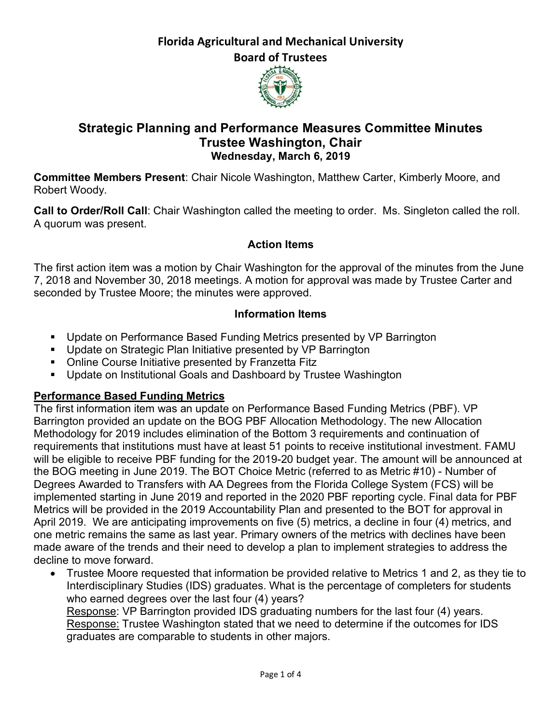# **Florida Agricultural and Mechanical University**

**Board of Trustees**



## **Strategic Planning and Performance Measures Committee Minutes Trustee Washington, Chair Wednesday, March 6, 2019**

**Committee Members Present**: Chair Nicole Washington, Matthew Carter, Kimberly Moore, and Robert Woody.

**Call to Order/Roll Call**: Chair Washington called the meeting to order. Ms. Singleton called the roll. A quorum was present.

### **Action Items**

The first action item was a motion by Chair Washington for the approval of the minutes from the June 7, 2018 and November 30, 2018 meetings. A motion for approval was made by Trustee Carter and seconded by Trustee Moore; the minutes were approved.

#### **Information Items**

- Update on Performance Based Funding Metrics presented by VP Barrington
- Update on Strategic Plan Initiative presented by VP Barrington
- Online Course Initiative presented by Franzetta Fitz
- Update on Institutional Goals and Dashboard by Trustee Washington

## **Performance Based Funding Metrics**

The first information item was an update on Performance Based Funding Metrics (PBF). VP Barrington provided an update on the BOG PBF Allocation Methodology. The new Allocation Methodology for 2019 includes elimination of the Bottom 3 requirements and continuation of requirements that institutions must have at least 51 points to receive institutional investment. FAMU will be eligible to receive PBF funding for the 2019-20 budget year. The amount will be announced at the BOG meeting in June 2019. The BOT Choice Metric (referred to as Metric #10) - Number of Degrees Awarded to Transfers with AA Degrees from the Florida College System (FCS) will be implemented starting in June 2019 and reported in the 2020 PBF reporting cycle. Final data for PBF Metrics will be provided in the 2019 Accountability Plan and presented to the BOT for approval in April 2019. We are anticipating improvements on five (5) metrics, a decline in four (4) metrics, and one metric remains the same as last year. Primary owners of the metrics with declines have been made aware of the trends and their need to develop a plan to implement strategies to address the decline to move forward.

• Trustee Moore requested that information be provided relative to Metrics 1 and 2, as they tie to Interdisciplinary Studies (IDS) graduates. What is the percentage of completers for students who earned degrees over the last four (4) years?

Response: VP Barrington provided IDS graduating numbers for the last four (4) years. Response: Trustee Washington stated that we need to determine if the outcomes for IDS graduates are comparable to students in other majors.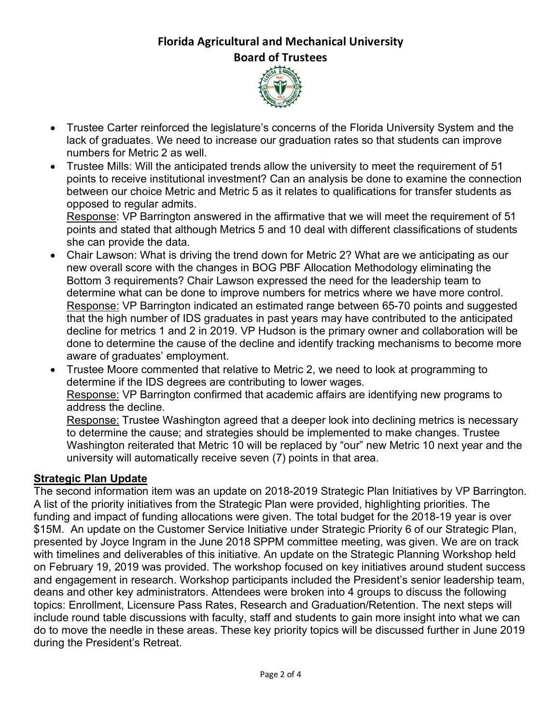# **Florida Agricultural and Mechanical University Board of Trustees**



- Trustee Carter reinforced the legislature's concerns of the Florida University System and the lack of graduates. We need to increase our graduation rates so that students can improve numbers for Metric 2 as well.
- Trustee Mills: Will the anticipated trends allow the university to meet the requirement of 51 points to receive institutional investment? Can an analysis be done to examine the connection between our choice Metric and Metric 5 as it relates to qualifications for transfer students as opposed to regular admits.

Response: VP Barrington answered in the affirmative that we will meet the requirement of 51 points and stated that although Metrics 5 and 10 deal with different classifications of students she can provide the data.

- Chair Lawson: What is driving the trend down for Metric 2? What are we anticipating as our new overall score with the changes in BOG PBF Allocation Methodology eliminating the Bottom 3 requirements? Chair Lawson expressed the need for the leadership team to determine what can be done to improve numbers for metrics where we have more control. Response: VP Barrington indicated an estimated range between 65-70 points and suggested that the high number of IDS graduates in past years may have contributed to the anticipated decline for metrics 1 and 2 in 2019. VP Hudson is the primary owner and collaboration will be done to determine the cause of the decline and identify tracking mechanisms to become more aware of graduates' employment.
- Trustee Moore commented that relative to Metric 2, we need to look at programming to determine if the IDS degrees are contributing to lower wages. Response: VP Barrington confirmed that academic affairs are identifying new programs to address the decline.

Response: Trustee Washington agreed that a deeper look into declining metrics is necessary to determine the cause; and strategies should be implemented to make changes. Trustee Washington reiterated that Metric 10 will be replaced by "our" new Metric 10 next year and the university will automatically receive seven (7) points in that area.

#### **Strategic Plan Update**

The second information item was an update on 2018-2019 Strategic Plan Initiatives by VP Barrington. A list of the priority initiatives from the Strategic Plan were provided, highlighting priorities. The funding and impact of funding allocations were given. The total budget for the 2018-19 year is over \$15M. An update on the Customer Service Initiative under Strategic Priority 6 of our Strategic Plan, presented by Joyce Ingram in the June 2018 SPPM committee meeting, was given. We are on track with timelines and deliverables of this initiative. An update on the Strategic Planning Workshop held on February 19, 2019 was provided. The workshop focused on key initiatives around student success and engagement in research. Workshop participants included the President's senior leadership team, deans and other key administrators. Attendees were broken into 4 groups to discuss the following topics: Enrollment, Licensure Pass Rates, Research and Graduation/Retention. The next steps will include round table discussions with faculty, staff and students to gain more insight into what we can do to move the needle in these areas. These key priority topics will be discussed further in June 2019 during the President's Retreat.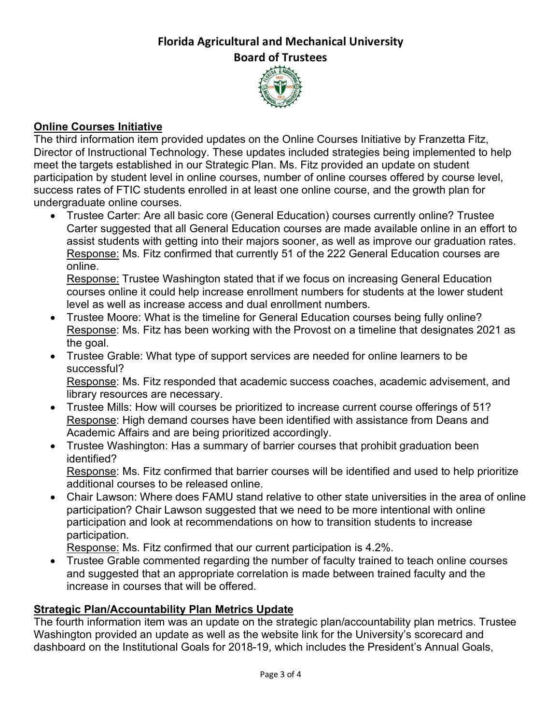### **Florida Agricultural and Mechanical University Board of Trustees**



### **Online Courses Initiative**

The third information item provided updates on the Online Courses Initiative by Franzetta Fitz, Director of Instructional Technology. These updates included strategies being implemented to help meet the targets established in our Strategic Plan. Ms. Fitz provided an update on student participation by student level in online courses, number of online courses offered by course level, success rates of FTIC students enrolled in at least one online course, and the growth plan for undergraduate online courses.

• Trustee Carter: Are all basic core (General Education) courses currently online? Trustee Carter suggested that all General Education courses are made available online in an effort to assist students with getting into their majors sooner, as well as improve our graduation rates. Response: Ms. Fitz confirmed that currently 51 of the 222 General Education courses are online.

Response: Trustee Washington stated that if we focus on increasing General Education courses online it could help increase enrollment numbers for students at the lower student level as well as increase access and dual enrollment numbers.

- Trustee Moore: What is the timeline for General Education courses being fully online? Response: Ms. Fitz has been working with the Provost on a timeline that designates 2021 as the goal.
- Trustee Grable: What type of support services are needed for online learners to be successful?

Response: Ms. Fitz responded that academic success coaches, academic advisement, and library resources are necessary.

- Trustee Mills: How will courses be prioritized to increase current course offerings of 51? Response: High demand courses have been identified with assistance from Deans and Academic Affairs and are being prioritized accordingly.
- Trustee Washington: Has a summary of barrier courses that prohibit graduation been identified?

Response: Ms. Fitz confirmed that barrier courses will be identified and used to help prioritize additional courses to be released online.

• Chair Lawson: Where does FAMU stand relative to other state universities in the area of online participation? Chair Lawson suggested that we need to be more intentional with online participation and look at recommendations on how to transition students to increase participation.

Response: Ms. Fitz confirmed that our current participation is 4.2%.

• Trustee Grable commented regarding the number of faculty trained to teach online courses and suggested that an appropriate correlation is made between trained faculty and the increase in courses that will be offered.

## **Strategic Plan/Accountability Plan Metrics Update**

The fourth information item was an update on the strategic plan/accountability plan metrics. Trustee Washington provided an update as well as the website link for the University's scorecard and dashboard on the Institutional Goals for 2018-19, which includes the President's Annual Goals,